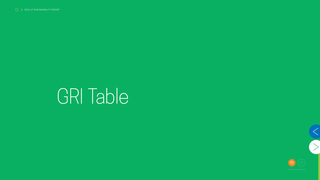## GRI Table

 $\begin{picture}(40,40) \put(0,0){\line(1,0){155}} \put(15,0){\line(1,0){155}} \put(15,0){\line(1,0){155}} \put(15,0){\line(1,0){155}} \put(15,0){\line(1,0){155}} \put(15,0){\line(1,0){155}} \put(15,0){\line(1,0){155}} \put(15,0){\line(1,0){155}} \put(15,0){\line(1,0){155}} \put(15,0){\line(1,0){155}} \put(15,0){\line(1,0){155}} \$ 



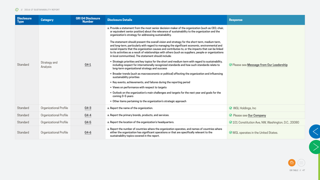





| <b>Disclosure</b><br>Type | <b>Category</b>               | <b>GRI G4 Disclosure</b><br><b>Number</b> | <b>Disclosure Details</b>                                                                                                                                                                                                                                                                                                                                                                                                                                                                                                                                                                                                                                                                                                                                                                                                                                                                                                                                                                                                                                                                                                                                                                                                                                                                                                                                                                                                                                 | <b>Response</b>                                            |
|---------------------------|-------------------------------|-------------------------------------------|-----------------------------------------------------------------------------------------------------------------------------------------------------------------------------------------------------------------------------------------------------------------------------------------------------------------------------------------------------------------------------------------------------------------------------------------------------------------------------------------------------------------------------------------------------------------------------------------------------------------------------------------------------------------------------------------------------------------------------------------------------------------------------------------------------------------------------------------------------------------------------------------------------------------------------------------------------------------------------------------------------------------------------------------------------------------------------------------------------------------------------------------------------------------------------------------------------------------------------------------------------------------------------------------------------------------------------------------------------------------------------------------------------------------------------------------------------------|------------------------------------------------------------|
| Standard                  | Strategy and<br>Analysis      | $G4-1$                                    | a. Provide a statement from the most senior decision-maker of the organization (such as CEO, chair,<br>or equivalent senior position) about the relevance of sustainability to the organization and the<br>organization's strategy for addressing sustainability.<br>The statement should present the overall vision and strategy for the short term, medium term,<br>and long-term, particularly with regard to managing the significant economic, environmental and<br>social impacts that the organization causes and contributes to, or the impacts that can be linked<br>to its activities as a result of relationships with others (such as suppliers, people or organizations<br>in local communities). The statement should include:<br>• Strategic priorities and key topics for the short and medium term with regard to sustainability,<br>including respect for internationally recognized standards and how such standards relate to<br>long-term organizational strategy and success<br>• Broader trends (such as macroeconomic or political) affecting the organization and influencing<br>sustainability priorities<br>• Key events, achievements, and failures during the reporting period<br>• Views on performance with respect to targets<br>• Outlook on the organization's main challenges and targets for the next year and goals for the<br>coming 3-5 years<br>• Other items pertaining to the organization's strategic approach | ⊙ Please see Message from Our Leadership                   |
| Standard                  | Organizational Profile        | $G4-3$                                    | a. Report the name of the organization.                                                                                                                                                                                                                                                                                                                                                                                                                                                                                                                                                                                                                                                                                                                                                                                                                                                                                                                                                                                                                                                                                                                                                                                                                                                                                                                                                                                                                   | $\odot$ WGL Holdings, Inc                                  |
| Standard                  | Organizational Profile        | $G4-4$                                    | a. Report the primary brands, products, and services.                                                                                                                                                                                                                                                                                                                                                                                                                                                                                                                                                                                                                                                                                                                                                                                                                                                                                                                                                                                                                                                                                                                                                                                                                                                                                                                                                                                                     | ⊙ Please see Our Company                                   |
| Standard                  | <b>Organizational Profile</b> | $G4-5$                                    | a. Report the location of the organization's headquarters.                                                                                                                                                                                                                                                                                                                                                                                                                                                                                                                                                                                                                                                                                                                                                                                                                                                                                                                                                                                                                                                                                                                                                                                                                                                                                                                                                                                                | <b>⊘ 101 Constitution Ave, NW, Washington, D.C., 20080</b> |
| Standard                  | Organizational Profile        | $G4-6$                                    | a. Report the number of countries where the organization operates, and names of countries where<br>either the organization has significant operations or that are specifically relevant to the<br>sustainability topics covered in the report.                                                                                                                                                                                                                                                                                                                                                                                                                                                                                                                                                                                                                                                                                                                                                                                                                                                                                                                                                                                                                                                                                                                                                                                                            |                                                            |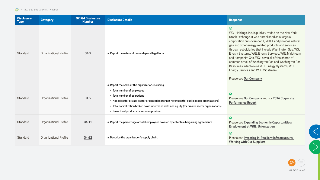









| <b>Disclosure</b><br><b>Type</b> | <b>Category</b>               | <b>GRI G4 Disclosure</b><br><b>Number</b> | <b>Disclosure Details</b>                                                                                                                                                                                                                                                                                                                                                  | <b>Response</b>                                                                                                                                                                                                                                                                                                                                                                                                                                                                                                                                                              |
|----------------------------------|-------------------------------|-------------------------------------------|----------------------------------------------------------------------------------------------------------------------------------------------------------------------------------------------------------------------------------------------------------------------------------------------------------------------------------------------------------------------------|------------------------------------------------------------------------------------------------------------------------------------------------------------------------------------------------------------------------------------------------------------------------------------------------------------------------------------------------------------------------------------------------------------------------------------------------------------------------------------------------------------------------------------------------------------------------------|
| Standard                         | Organizational Profile        | $\underline{G4-7}$                        | a. Report the nature of ownership and legal form.                                                                                                                                                                                                                                                                                                                          | $\odot$<br>WGL Holdings, Inc. is publicly traded on the New York<br>Stock Exchange. It was established as a Virginia<br>corporation on November 1, 2000, and provides natural<br>gas and other energy-related products and services<br>through subsidiaries that include Washington Gas, WGL<br>Energy Systems, WGL Energy Services, WGL Midstream<br>and Hampshire Gas. WGL owns all of the shares of<br>common stock of Washington Gas and Washington Gas<br>Resources, which owns WGL Energy Systems, WGL<br>Energy Services and WGL Midstream.<br>Please see Our Company |
| Standard                         | <b>Organizational Profile</b> | G4-9                                      | a. Report the scale of the organization, including:<br>• Total number of employees<br>• Total number of operations<br>• Net sales (for private sector organizations) or net revenues (for public sector organizations)<br>• Total capitalization broken down in terms of debt and equity (for private sector organizations)<br>• Quantity of products or services provided | $\odot$<br>Please see Our Company and our 2016 Corporate<br><b>Performance Report</b>                                                                                                                                                                                                                                                                                                                                                                                                                                                                                        |
| Standard                         | Organizational Profile        | G4-11                                     | a. Report the percentage of total employees covered by collective bargaining agreements.                                                                                                                                                                                                                                                                                   | $\odot$<br><b>Please see Expanding Economic Opportunities:</b><br><b>Employment at WGL: Unionization</b>                                                                                                                                                                                                                                                                                                                                                                                                                                                                     |
| Standard                         | <b>Organizational Profile</b> | $G4-12$                                   | a. Describe the organization's supply chain.                                                                                                                                                                                                                                                                                                                               | $\odot$<br>Please see Investing in Resilient Infrastructure:<br><b>Working with Our Suppliers</b>                                                                                                                                                                                                                                                                                                                                                                                                                                                                            |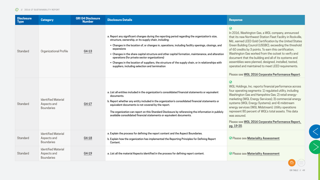



| <b>Disclosure</b><br><b>Type</b> | <b>Category</b>                                                | <b>GRI G4 Disclosure</b><br><b>Number</b> | <b>Disclosure Details</b>                                                                                                                                                                                                                                                                                                                                                                                                                                                                                                                                                                     | <b>Response</b>                                                                                                                                                                                                                                                                                                                                                                                                                                                                                                                                                                                  |
|----------------------------------|----------------------------------------------------------------|-------------------------------------------|-----------------------------------------------------------------------------------------------------------------------------------------------------------------------------------------------------------------------------------------------------------------------------------------------------------------------------------------------------------------------------------------------------------------------------------------------------------------------------------------------------------------------------------------------------------------------------------------------|--------------------------------------------------------------------------------------------------------------------------------------------------------------------------------------------------------------------------------------------------------------------------------------------------------------------------------------------------------------------------------------------------------------------------------------------------------------------------------------------------------------------------------------------------------------------------------------------------|
| Standard                         | Organizational Profile                                         | G4-13                                     | a. Report any significant changes during the reporting period regarding the organization's size,<br>structure, ownership, or its supply chain, including:<br>• Changes in the location of, or changes in, operations, including facility openings, closings, and<br>expansions<br>• Changes in the share capital structure and other capital formation, maintenance, and alteration<br>operations (for private sector organizations)<br>• Changes in the location of suppliers, the structure of the supply chain, or in relationships with<br>suppliers, including selection and termination | $\odot$<br>In 2016, Washington Gas, a WGL company, announced<br>that its new Northwest Station Fleet Facility in Rockville,<br>Md., earned LEED Gold Certification by the United States<br>Green Building Council (USGBC), exceeding the threshold<br>of 60 credits by 3 points. To earn this certification,<br>Washington Gas worked from the outset to verify and<br>document that the building and all of its systems and<br>assemblies were planned, designed, installed, tested,<br>operated and maintained to meet LEED requirements.<br>Please see WGL 2016 Corporate Performance Report. |
| <b>Standard</b>                  | <b>Identified Material</b><br>Aspects and<br><b>Boundaries</b> | G4-17                                     | a. List all entities included in the organization's consolidated financial statements or equivalent<br>documents.<br>b. Report whether any entity included in the organization's consolidated financial statements or<br>equivalent documents is not covered by the report.<br>The organization can report on this Standard Disclosure by referencing the information in publicly<br>available consolidated financial statements or equivalent documents.                                                                                                                                     | $\odot$<br>WGL Holdings, Inc. reports financial performance across<br>four operating segments: 1) regulated utility, including<br>Washington Gas and Hampshire Gas; 2) retail energy-<br>marketing (WGL Energy Services); 3) commercial energy<br>systems (WGL Energy Systems); and 4) midstream<br>energy services (WGL Midstream). Utility operations<br>represent 80 percent of WGL's total assets. This data<br>was assured.<br>Please see WGL 2016 Corporate Performance Report,<br>pg. 19-20.                                                                                              |
| <b>Standard</b>                  | <b>Identified Material</b><br>Aspects and<br><b>Boundaries</b> | G4-18                                     | a. Explain the process for defining the report content and the Aspect Boundaries.<br>b. Explain how the organization has implemented the Reporting Principles for Defining Report<br>Content.                                                                                                                                                                                                                                                                                                                                                                                                 | ⊙ Please see Materiality Assessment                                                                                                                                                                                                                                                                                                                                                                                                                                                                                                                                                              |
| Standard                         | <b>Identified Material</b><br>Aspects and<br><b>Boundaries</b> | $G4-19$                                   | a. List all the material Aspects identified in the process for defining report content.                                                                                                                                                                                                                                                                                                                                                                                                                                                                                                       | ⊙ Please see Materiality Assessment                                                                                                                                                                                                                                                                                                                                                                                                                                                                                                                                                              |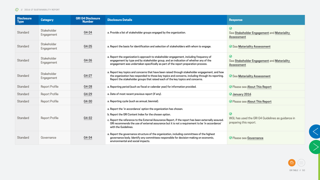





| <b>Disclosure</b><br><b>Type</b> | <b>Category</b>           | <b>GRI G4 Disclosure</b><br><b>Number</b> | <b>Disclosure Details</b>                                                                                                                                                                                                                                                                                                                                     | <b>Response</b>                                                                        |
|----------------------------------|---------------------------|-------------------------------------------|---------------------------------------------------------------------------------------------------------------------------------------------------------------------------------------------------------------------------------------------------------------------------------------------------------------------------------------------------------------|----------------------------------------------------------------------------------------|
| Standard                         | Stakeholder<br>Engagement | G4-24                                     | a. Provide a list of stakeholder groups engaged by the organization.                                                                                                                                                                                                                                                                                          | $\odot$<br>See Stakeholder Engagement and Materiality<br><b>Assessment</b>             |
| Standard                         | Stakeholder<br>Engagement | G4-25                                     | a. Report the basis for identification and selection of stakeholders with whom to engage.                                                                                                                                                                                                                                                                     |                                                                                        |
| Standard                         | Stakeholder<br>Engagement | G4-26                                     | a. Report the organization's approach to stakeholder engagement, including frequency of<br>engagement by type and by stakeholder group, and an indication of whether any of the<br>engagement was undertaken specifically as part of the report preparation process.                                                                                          | $\odot$<br>See Stakeholder Engagement and Materiality<br><b>Assessment</b>             |
| Standard                         | Stakeholder<br>Engagement | G4-27                                     | a. Report key topics and concerns that have been raised through stakeholder engagement, and how<br>the organization has responded to those key topics and concerns, including through its reporting.<br>Report the stakeholder groups that raised each of the key topics and concerns.                                                                        | <b>⊙</b> See Materiality Assessment                                                    |
| Standard                         | <b>Report Profile</b>     | G4-28                                     | a. Reporting period (such as fiscal or calendar year) for information provided.                                                                                                                                                                                                                                                                               | <b> Ø</b> Please see About This Report                                                 |
| Standard                         | <b>Report Profile</b>     | G4-29                                     | a. Date of most recent previous report (if any).                                                                                                                                                                                                                                                                                                              | $\odot$ January 2016                                                                   |
| Standard                         | <b>Report Profile</b>     | G4-30                                     | a. Reporting cycle (such as annual, biennial).                                                                                                                                                                                                                                                                                                                | <b> ⊙</b> Please see About This Report                                                 |
| Standard                         | <b>Report Profile</b>     | G4-32                                     | a. Report the 'in accordance' option the organization has chosen.<br>b. Report the GRI Content Index for the chosen option.<br>c. Report the reference to the External Assurance Report, if the report has been externally assured.<br>GRI recommends the use of external assurance but it is not a requirement to be 'in accordance'<br>with the Guidelines. | $\odot$<br>WGL has used the GRI G4 Guidelines as guidance in<br>preparing this report. |
| Standard                         | Governance                | G4-34                                     | a. Report the governance structure of the organization, including committees of the highest<br>governance body. Identify any committees responsible for decision-making on economic,<br>environmental and social impacts.                                                                                                                                     | ⊙ Please see Governance                                                                |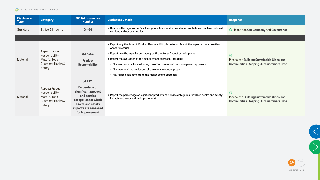





| <b>Disclosure</b><br><b>Type</b> | <b>Category</b>                                                                                   | <b>GRI G4 Disclosure</b><br><b>Number</b>                                                                                                                            | Disclosure Details                                                                                                                                                                                                                                                                                                                                                                                                                                                        | <b>Response</b>                                                                                                |
|----------------------------------|---------------------------------------------------------------------------------------------------|----------------------------------------------------------------------------------------------------------------------------------------------------------------------|---------------------------------------------------------------------------------------------------------------------------------------------------------------------------------------------------------------------------------------------------------------------------------------------------------------------------------------------------------------------------------------------------------------------------------------------------------------------------|----------------------------------------------------------------------------------------------------------------|
| Standard                         | Ethics & Integrity                                                                                | G4-56                                                                                                                                                                | a. Describe the organization's values, principles, standards and norms of behavior such as codes of<br>conduct and codes of ethics.                                                                                                                                                                                                                                                                                                                                       | ⊙ Please see Our Company and Governance                                                                        |
|                                  |                                                                                                   |                                                                                                                                                                      |                                                                                                                                                                                                                                                                                                                                                                                                                                                                           |                                                                                                                |
| <b>Material</b>                  | <b>Aspect: Product</b><br>Responsibility<br><b>Material Topic:</b><br>Customer Health &<br>Safety | <b>G4 DMA:</b><br><b>Product</b><br><b>Responsibility</b>                                                                                                            | a. Report why the Aspect (Product Responsibility) is material. Report the impacts that make this<br>Aspect material.<br>b. Report how the organization manages the material Aspect or its impacts.<br>c. Report the evaluation of the management approach, including:<br>• The mechanisms for evaluating the effectiveness of the management approach<br>• The results of the evaluation of the management approach<br>Any related adjustments to the management approach | $\odot$<br><b>Please see Building Sustainable Cities and</b><br><b>Communities: Keeping Our Customers Safe</b> |
| <b>Material</b>                  | <b>Aspect: Product</b><br>Responsibility<br><b>Material Topic:</b><br>Customer Health &<br>Safety | <b>G4-PR1:</b><br><b>Percentage of</b><br>significant product<br>and service<br>categories for which<br>health and safety<br>impacts are assessed<br>for improvement | a. Report the percentage of significant product and service categories for which health and safety<br>impacts are assessed for improvement.                                                                                                                                                                                                                                                                                                                               | $\odot$<br><b>Please see Building Sustainable Cities and</b><br><b>Communities: Keeping Our Customers Safe</b> |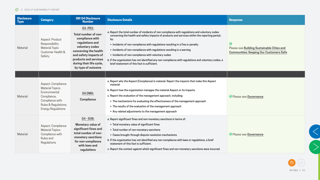





| <b>Disclosure</b><br><b>Type</b> | <b>Category</b>                                                                                                                                       | <b>GRI G4 Disclosure</b><br><b>Number</b>                                                                                                                                                                                    | <b>Disclosure Details</b>                                                                                                                                                                                                                                                                                                                                                                                                                                                                                                                                                      | <b>Response</b>                                                                                                |
|----------------------------------|-------------------------------------------------------------------------------------------------------------------------------------------------------|------------------------------------------------------------------------------------------------------------------------------------------------------------------------------------------------------------------------------|--------------------------------------------------------------------------------------------------------------------------------------------------------------------------------------------------------------------------------------------------------------------------------------------------------------------------------------------------------------------------------------------------------------------------------------------------------------------------------------------------------------------------------------------------------------------------------|----------------------------------------------------------------------------------------------------------------|
| <b>Material</b>                  | <b>Aspect: Product</b><br>Responsibility<br><b>Material Topic:</b><br>Customer Health &<br>Safety                                                     | <b>G4-PR2:</b><br>Total number of non-<br>compliance with<br>regulations and<br>voluntary codes<br>concerning the health<br>and safety impacts of<br>products and services<br>during their life cycle,<br>by type of outcome | a. Report the total number of incidents of non-compliance with regulations and voluntary codes<br>concerning the health and safety impacts of products and services within the reporting period,<br>by:<br>• Incidents of non-compliance with regulations resulting in a fine or penalty<br>• Incidents of non-compliance with regulations resulting in a warning<br>• Incidents of non-compliance with voluntary codes<br>b. If the organization has not identified any non-compliance with regulations and voluntary codes, a<br>brief statement of this fact is sufficient. | $\odot$<br><b>Please see Building Sustainable Cities and</b><br><b>Communities: Keeping Our Customers Safe</b> |
|                                  |                                                                                                                                                       |                                                                                                                                                                                                                              |                                                                                                                                                                                                                                                                                                                                                                                                                                                                                                                                                                                |                                                                                                                |
| <b>Material</b>                  | Aspect: Compliance<br><b>Material Topics:</b><br>Environmental<br>Compliance,<br>Compliance with<br>Rules & Regulations,<br><b>Energy Regulations</b> | <b>G4 DMA:</b><br><b>Compliance</b>                                                                                                                                                                                          | a. Report why the Aspect (Compliance) is material. Report the impacts that make this Aspect<br>material.<br>b. Report how the organization manages the material Aspect or its impacts.<br>c. Report the evaluation of the management approach, including:<br>• The mechanisms for evaluating the effectiveness of the management approach<br>• The results of the evaluation of the management approach<br>• Any related adjustments to the management approach                                                                                                                | <b>⊘</b> Please see Governance                                                                                 |
| Material                         | Aspect: Compliance<br><b>Material Topics:</b><br>Compliance with<br>Rules and<br>Regulations                                                          | G4 - SO8:<br><b>Monetary value of</b><br>significant fines and<br>total number of non-<br>monetary sanctions<br>for non-compliance<br>with laws and<br>regulations                                                           | a. Report significant fines and non-monetary sanctions in terms of:<br>■ Total monetary value of significant fines<br>• Total number of non-monetary sanctions<br>• Cases brought through dispute resolution mechanisms<br>b. If the organization has not identified any non-compliance with laws or regulations, a brief<br>statement of this fact is sufficient.<br>c. Report the context against which significant fines and non-monetary sanctions were incurred.                                                                                                          | <b>⊘</b> Please see Governance                                                                                 |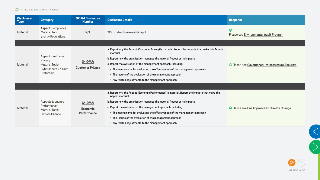





| <b>Disclosure</b><br><b>Type</b> | <b>Category</b>                                                                                    | <b>GRI G4 Disclosure</b><br><b>Number</b>        | Disclosure Details                                                                                                                                                                                                                                                                                                                                                                                                                                                        | <b>Response</b>                                   |
|----------------------------------|----------------------------------------------------------------------------------------------------|--------------------------------------------------|---------------------------------------------------------------------------------------------------------------------------------------------------------------------------------------------------------------------------------------------------------------------------------------------------------------------------------------------------------------------------------------------------------------------------------------------------------------------------|---------------------------------------------------|
| <b>Material</b>                  | Aspect: Compliance<br><b>Material Topic:</b><br><b>Energy Regulations</b>                          | N/A                                              | WGL to identify relevant data point                                                                                                                                                                                                                                                                                                                                                                                                                                       | $\odot$<br>Please see Environmental Audit Program |
|                                  |                                                                                                    |                                                  |                                                                                                                                                                                                                                                                                                                                                                                                                                                                           |                                                   |
| <b>Material</b>                  | <b>Aspect: Customer</b><br>Privacy<br><b>Material Topic:</b><br>Cybersecurity & Data<br>Protection | G4-DMA:<br><b>Customer Privacy</b>               | a. Report why the Aspect (Customer Privacy) is material. Report the impacts that make this Aspect<br>material.<br>b. Report how the organization manages the material Aspect or its impacts.<br>c. Report the evaluation of the management approach, including:<br>• The mechanisms for evaluating the effectiveness of the management approach<br>• The results of the evaluation of the management approach<br>• Any related adjustments to the management approach     | ⊙ Please see Governance: Infrastructure Security  |
|                                  |                                                                                                    |                                                  |                                                                                                                                                                                                                                                                                                                                                                                                                                                                           |                                                   |
| <b>Material</b>                  | Aspect: Economic<br>Performance<br><b>Material Topic:</b><br>Climate Change                        | G4-DMA:<br><b>Economic</b><br><b>Performance</b> | a. Report why the Aspect (Economic Performance) is material. Report the impacts that make this<br>Aspect material.<br>b. Report how the organization manages the material Aspect or its impacts.<br>c. Report the evaluation of the management approach, including:<br>• The mechanisms for evaluating the effectiveness of the management approach<br>• The results of the evaluation of the management approach<br>• Any related adjustments to the management approach | ⊙ Please see Our Approach to Climate Change       |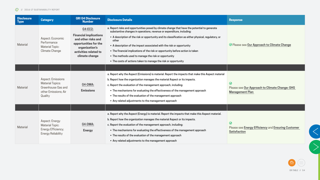





| <b>Disclosure</b><br><b>Type</b> | <b>Category</b>                                                                                              | <b>GRI G4 Disclosure</b><br><b>Number</b>                                                                                                                    | <b>Disclosure Details</b>                                                                                                                                                                                                                                                                                                                                                                                                                                                                                                                                                    | <b>Response</b>                                                                             |
|----------------------------------|--------------------------------------------------------------------------------------------------------------|--------------------------------------------------------------------------------------------------------------------------------------------------------------|------------------------------------------------------------------------------------------------------------------------------------------------------------------------------------------------------------------------------------------------------------------------------------------------------------------------------------------------------------------------------------------------------------------------------------------------------------------------------------------------------------------------------------------------------------------------------|---------------------------------------------------------------------------------------------|
| Material                         | Aspect: Economic<br>Performance<br><b>Material Topic:</b><br>Climate Change                                  | <b>G4-EC2:</b><br><b>Financial implications</b><br>and other risks and<br>opportunities for the<br>organization's<br>activities related to<br>climate change | a. Report risks and opportunities posed by climate change that have the potential to generate<br>substantive changes in operations, revenue or expenditure, including:<br>• A description of the risk or opportunity and its classification as either physical, regulatory, or<br>other<br>• A description of the impact associated with the risk or opportunity<br>• The financial implications of the risk or opportunity before action is taken<br>• The methods used to manage the risk or opportunity<br>• The costs of actions taken to manage the risk or opportunity | ⊙ Please see Our Approach to Climate Change                                                 |
|                                  |                                                                                                              |                                                                                                                                                              |                                                                                                                                                                                                                                                                                                                                                                                                                                                                                                                                                                              |                                                                                             |
| <b>Material</b>                  | <b>Aspect: Emissions</b><br><b>Material Topics:</b><br>Greenhouse Gas and<br>other Emissions; Air<br>Quality | G4-DMA:<br><b>Emissions</b>                                                                                                                                  | a. Report why the Aspect (Emissions) is material. Report the impacts that make this Aspect material<br>b. Report how the organization manages the material Aspect or its impacts.<br>c. Report the evaluation of the management approach, including:<br>• The mechanisms for evaluating the effectiveness of the management approach<br>• The results of the evaluation of the management approach<br>• Any related adjustments to the management approach                                                                                                                   | $\odot$<br>Please see Our Approach to Climate Change: GHG<br><b>Management Plan</b>         |
|                                  |                                                                                                              |                                                                                                                                                              |                                                                                                                                                                                                                                                                                                                                                                                                                                                                                                                                                                              |                                                                                             |
| Material                         | <b>Aspect: Energy</b><br><b>Material Topic:</b><br>Energy Efficiency;<br><b>Energy Reliability</b>           | G4-DMA:<br><b>Energy</b>                                                                                                                                     | a. Report why the Aspect (Energy) is material. Report the impacts that make this Aspect material.<br>b. Report how the organization manages the material Aspect or its impacts.<br>c. Report the evaluation of the management approach, including:<br>• The mechanisms for evaluating the effectiveness of the management approach<br>• The results of the evaluation of the management approach<br>• Any related adjustments to the management approach                                                                                                                     | $\odot$<br><b>Please see Energy Efficiency and Ensuring Customer</b><br><b>Satisfaction</b> |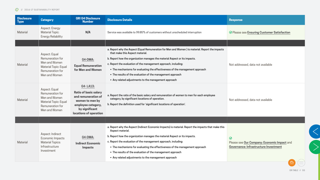| <b>Disclosure</b><br><b>Type</b> | <b>Category</b>                                                                                                         | <b>GRI G4 Disclosure</b><br><b>Number</b>                                                                                                                   | <b>Disclosure Details</b>                                                                                                                                                                                                                                                                                                                                                                                                                                                                 | <b>Response</b>                                                                                                                                                                                  |
|----------------------------------|-------------------------------------------------------------------------------------------------------------------------|-------------------------------------------------------------------------------------------------------------------------------------------------------------|-------------------------------------------------------------------------------------------------------------------------------------------------------------------------------------------------------------------------------------------------------------------------------------------------------------------------------------------------------------------------------------------------------------------------------------------------------------------------------------------|--------------------------------------------------------------------------------------------------------------------------------------------------------------------------------------------------|
| Material                         | Aspect: Energy<br><b>Material Topic:</b><br><b>Energy Reliability</b>                                                   | N/A                                                                                                                                                         | Service was available to 99.85% of customers without unscheduled interruption                                                                                                                                                                                                                                                                                                                                                                                                             | ⊙ Please see Ensuring Customer Satisfaction                                                                                                                                                      |
|                                  |                                                                                                                         |                                                                                                                                                             |                                                                                                                                                                                                                                                                                                                                                                                                                                                                                           |                                                                                                                                                                                                  |
| Material                         | Aspect: Equal<br>Remuneration for<br>Men and Women<br><b>Material Topic: Equal</b><br>Remuneration for<br>Men and Women | G4-DMA:<br><b>Equal Remuneration</b><br>for Men and Women                                                                                                   | a. Report why the Aspect (Equal Remuneration for Men and Women) is material. Report the impacts<br>that make this Aspect material.<br>b. Report how the organization manages the material Aspect or its impacts.<br>c. Report the evaluation of the management approach, including:<br>• The mechanisms for evaluating the effectiveness of the management approach<br>• The results of the evaluation of the management approach<br>• Any related adjustments to the management approach | Not addressed, data not available                                                                                                                                                                |
| <b>Material</b>                  | Aspect: Equal<br>Remuneration for<br>Men and Women<br><b>Material Topic: Equal</b><br>Remuneration for<br>Men and Women | <b>G4-LA13:</b><br><b>Ratio of basic salary</b><br>and remuneration of<br>women to men by<br>employee category,<br>by significant<br>locations of operation | a. Report the ratio of the basic salary and remuneration of women to men for each employee<br>category, by significant locations of operation.<br>b. Report the definition used for 'significant locations of operation'.                                                                                                                                                                                                                                                                 | Not addressed, data not available                                                                                                                                                                |
|                                  |                                                                                                                         |                                                                                                                                                             |                                                                                                                                                                                                                                                                                                                                                                                                                                                                                           |                                                                                                                                                                                                  |
| Material                         | Aspect: Indirect<br>Economic Impacts<br><b>Material Topics:</b><br>Infrastructure<br>Investment                         | G4-DMA:<br><b>Indirect Economic</b><br><b>Impacts</b>                                                                                                       | a. Report why the Aspect (Indirect Economic Impacts) is material. Report the impacts that make this<br>Aspect material.<br>b. Report how the organization manages the material Aspect or its impacts.<br>c. Report the evaluation of the management approach, including:<br>• The mechanisms for evaluating the effectiveness of the management approach<br>• The results of the evaluation of the management approach<br>• Any related adjustments to the management approach            | $\odot$<br>Please see Our Company: Economic Impact and<br>Governance: Infrastructure Investment<br>$\left(\begin{array}{c} \begin{array}{c} \end{array} \\ \begin{array}{c} \end{array} \right)$ |



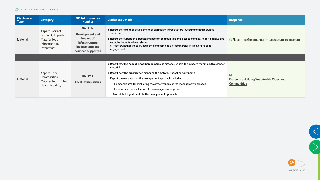



 $\left\langle \right\rangle$ 

| <b>Disclosure</b><br>Type | <b>Category</b>                                                                                | <b>GRI G4 Disclosure</b><br><b>Number</b>                                                                                 | <b>Disclosure Details</b>                                                                                                                                                                                                                                                                                                                                                                                                                                              | <b>Response</b>                                                                    |
|---------------------------|------------------------------------------------------------------------------------------------|---------------------------------------------------------------------------------------------------------------------------|------------------------------------------------------------------------------------------------------------------------------------------------------------------------------------------------------------------------------------------------------------------------------------------------------------------------------------------------------------------------------------------------------------------------------------------------------------------------|------------------------------------------------------------------------------------|
| <b>Material</b>           | Aspect: Indirect<br>Economic Impacts<br><b>Material Topic:</b><br>Infrastructure<br>Investment | <b>G4 - EC7:</b><br><b>Development and</b><br>impact of<br><i>infrastructure</i><br>investments and<br>services supported | a. Report the extent of development of significant infrastructure investments and services<br>supported.<br>b. Report the current or expected impacts on communities and local economies. Report positive and<br>negative impacts where relevant.<br>c. Report whether these investments and services are commercial, in-kind, or pro bono<br>engagements.                                                                                                             | ⊙ Please see Governance: Infrastructure Investment                                 |
|                           |                                                                                                |                                                                                                                           |                                                                                                                                                                                                                                                                                                                                                                                                                                                                        |                                                                                    |
| <b>Material</b>           | Aspect: Local<br>Communities<br><b>Material Topic: Public</b><br>Health & Safety               | G4-DMA:<br><b>Local Communities</b>                                                                                       | a. Report why the Aspect (Local Communities) is material. Report the impacts that make this Aspect<br>material.<br>b. Report how the organization manages the material Aspect or its impacts.<br>c. Report the evaluation of the management approach, including:<br>• The mechanisms for evaluating the effectiveness of the management approach<br>• The results of the evaluation of the management approach<br>• Any related adjustments to the management approach | $\odot$<br><b>Please see Building Sustainable Cities and</b><br><b>Communities</b> |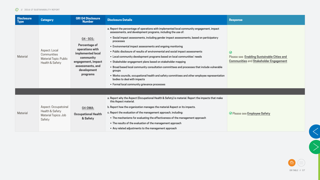



| <b>Disclosure</b><br><b>Type</b> | <b>Category</b>                                                                  | <b>GRI G4 Disclosure</b><br><b>Number</b>                                                                                                                          | <b>Disclosure Details</b>                                                                                                                                                                                                                                                                                                                                                                                                                                                                                                                                                                                                                                                                                                                                                                                                                             | <b>Response</b>                                                                                               |
|----------------------------------|----------------------------------------------------------------------------------|--------------------------------------------------------------------------------------------------------------------------------------------------------------------|-------------------------------------------------------------------------------------------------------------------------------------------------------------------------------------------------------------------------------------------------------------------------------------------------------------------------------------------------------------------------------------------------------------------------------------------------------------------------------------------------------------------------------------------------------------------------------------------------------------------------------------------------------------------------------------------------------------------------------------------------------------------------------------------------------------------------------------------------------|---------------------------------------------------------------------------------------------------------------|
| <b>Material</b>                  | Aspect: Local<br>Communities<br><b>Material Topic: Public</b><br>Health & Safety | G4 - SO1:<br><b>Percentage of</b><br>operations with<br>implemented local<br>community<br>engagement, impact<br>assessments, and<br>development<br><b>programs</b> | a. Report the percentage of operations with implemented local community engagement, impact<br>assessments, and development programs, including the use of:<br>• Social impact assessments, including gender impact assessments, based on participatory<br>processes<br>• Environmental impact assessments and ongoing monitoring<br>• Public disclosure of results of environmental and social impact assessments<br>• Local community development programs based on local communities' needs<br>• Stakeholder engagement plans based on stakeholder mapping<br>• Broad based local community consultation committees and processes that include vulnerable<br>groups<br>• Works councils, occupational health and safety committees and other employee representation<br>bodies to deal with impacts<br>• Formal local community grievance processes | $\odot$<br><b>Please see Enabling Sustainable Cities and</b><br><b>Communities and Stakeholder Engagement</b> |
|                                  |                                                                                  |                                                                                                                                                                    |                                                                                                                                                                                                                                                                                                                                                                                                                                                                                                                                                                                                                                                                                                                                                                                                                                                       |                                                                                                               |
| <b>Material</b>                  | Aspect: Occupatoinal<br>Health & Safety<br>Material Topics: Job<br>Safety        | G4-DMA:<br><b>Occupational Health</b><br>& Safety                                                                                                                  | a. Report why the Aspect (Occupational Health & Safety) is material. Report the impacts that make<br>this Aspect material.<br>b. Report how the organization manages the material Aspect or its impacts.<br>c. Report the evaluation of the management approach, including:<br>• The mechanisms for evaluating the effectiveness of the management approach<br>• The results of the evaluation of the management approach<br>• Any related adjustments to the management approach                                                                                                                                                                                                                                                                                                                                                                     | ⊙ Please see Employee Safety                                                                                  |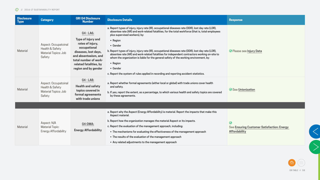





| <b>Disclosure</b><br><b>Type</b> | <b>Category</b>                                                           | <b>GRI G4 Disclosure</b><br><b>Number</b>                                                                                                                                                                    | <b>Disclosure Details</b>                                                                                                                                                                                                                                                                                                                                                                                                                                                                                                                                                                                                                                                            | <b>Response</b>                                                                      |
|----------------------------------|---------------------------------------------------------------------------|--------------------------------------------------------------------------------------------------------------------------------------------------------------------------------------------------------------|--------------------------------------------------------------------------------------------------------------------------------------------------------------------------------------------------------------------------------------------------------------------------------------------------------------------------------------------------------------------------------------------------------------------------------------------------------------------------------------------------------------------------------------------------------------------------------------------------------------------------------------------------------------------------------------|--------------------------------------------------------------------------------------|
| <b>Material</b>                  | Aspect: Occupatoinal<br>Health & Safety<br>Material Topics: Job<br>Safety | <b>G4 - LA6:</b><br><b>Type of injury and</b><br>rates of injury,<br>occupational<br>diseases, lost days,<br>and absenteeism, and<br>total number of work-<br>related fatalities, by<br>region and by gender | a. Report types of injury, injury rate (IR), occupational diseases rate (ODR), lost day rate (LDR),<br>absentee rate (AR) and work-related fatalities, for the total workforce (that is, total employees<br>plus supervised workers), by:<br>- Region<br>• Gender<br>b. Report types of injury, injury rate (IR), occupational diseases rate (ODR), lost day rate (LDR),<br>absentee rate (AR) and work-related fatalities for independent contractors working on-site to<br>whom the organization is liable for the general safety of the working environment, by:<br>- Region<br>• Gender<br>c. Report the system of rules applied in recording and reporting accident statistics. | <b>⊘</b> Please see Injury Data                                                      |
| Material                         | Aspect: Occupatoinal<br>Health & Safety<br>Material Topics: Job<br>Safety | <b>G4 - LA8:</b><br><b>Health and safety</b><br>topics covered in<br>formal agreements<br>with trade unions                                                                                                  | a. Report whether formal agreements (either local or global) with trade unions cover health<br>and safety.<br>b. If yes, report the extent, as a percentage, to which various health and safety topics are covered<br>by these agreements.                                                                                                                                                                                                                                                                                                                                                                                                                                           | <b>⊘</b> See Unionization                                                            |
|                                  |                                                                           |                                                                                                                                                                                                              |                                                                                                                                                                                                                                                                                                                                                                                                                                                                                                                                                                                                                                                                                      |                                                                                      |
| Material                         | Aspect: N/A<br><b>Material Topic:</b><br>Energy Affordability             | G4-DMA:<br><b>Energy Affordability</b>                                                                                                                                                                       | a. Report why the Aspect (Energy Affordability) is material. Report the impacts that make this<br>Aspect material.<br>b. Report how the organization manages the material Aspect or its impacts.<br>c. Report the evaluation of the management approach, including:<br>• The mechanisms for evaluating the effectiveness of the management approach<br>• The results of the evaluation of the management approach<br>• Any related adjustments to the management approach                                                                                                                                                                                                            | $\odot$<br><b>See Ensuring Customer Satisfaction: Energy</b><br><b>Affordability</b> |